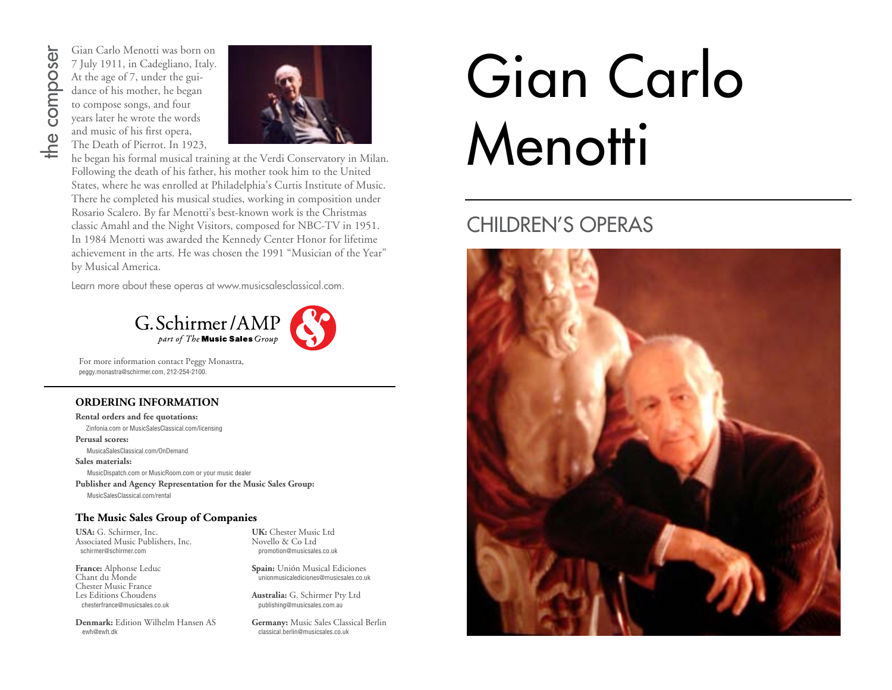# the composer

Gian Carlo Menotti was born on 7 July 1911, in Cadegliano, Italy. At the age of 7, under the guidance of his mother, he began to compose songs, and four years later he wrote the words and music of his first opera, The Death of Pierrot. In 1923,



he began his formal musical training at the Verdi Conservatory in Milan. Following the death of his father, his mother took him to the United States, where he was enrolled at Philadelphia's Curtis Institute of Music. There he completed his musical studies, working in composition under Rosario Scalero. By far Menotti's best-known work is the Christmas classic Amahl and the Night Visitors, composed for NBC-TV in 1951. In 1984 Menotti was awarded the Kennedy Center Honor for lifetime achievement in the arts. He was chosen the 1991 "Musician of the Year" by Musical America.

Learn more about these operas at www.musicsalesclassical.com.



For more information contact Peggy Monastra, peggy.monastra@schirmer.com, 212-254-2100.

#### **ORDERING INFORMATION**

**Rental orders and fee quotations:**

 Zinfonia.com or MusicSalesClassical.com/licensing **Perusal scores:**

MusicaSalesClassical.com/OnDemand

**Sales materials:**

MusicDispatch.com or MusicRoom.com or your music dealer **Publisher and Agency Representation for the Music Sales Group:**

MusicSalesClassical.com/rental

#### **The Music Sales Group of Companies**

**USA:** G. Schirmer, Inc. Associated Music Publishers, Inc. schirmer@schirmer.com

**France:** Alphonse Leduc Chant du Monde Chester Music France Les Editions Choudens chesterfrance@musicsales.co.uk

**Denmark:** Edition Wilhelm Hansen AS ewh@ewh.dk

**UK:** Chester Music Ltd Novello & Co Ltd promotion@musicsales.co.uk

**Spain:** Unión Musical Ediciones unionmusicalediciones@musicsales.co.uk

**Australia:** G. Schirmer Pty Ltd publishing@musicsales.com.au

**Germany:** Music Sales Classical Berlin classical.berlin@musicsales.co.uk

# Gian Carlo **Menotti**

#### CHILDREN'S OPERAS